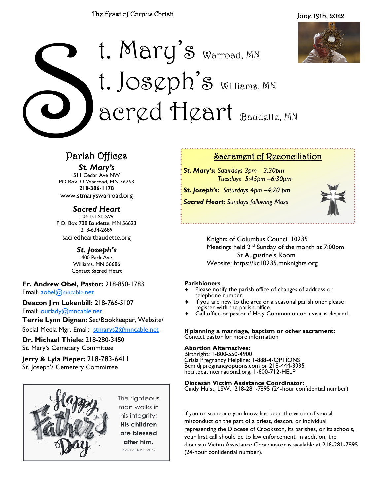June 19th, 2022



# C<br>C<br>Parish t. Mary's Warroad, MN  $t.$   $Joseph's$  williams, MN acred Heart Baudette, MN

## Parish Offices

*St. Mary's*

511 Cedar Ave NW PO Box 33 Warroad, MN 56763 **218-386-1178** www.stmaryswarroad.org

*Sacred Heart* 104 1st St. SW P.O. Box 738 Baudette, MN 56623 218-634-2689 sacredheartbaudette.org

> *St. Joseph's* 400 Park Ave Williams, MN 56686 Contact Sacred Heart

**Fr. Andrew Obel, Pastor:** 218-850-1783 Email: [aobel@](mailto:%20aobel@mncable.net)mncable.net

**Deacon Jim Lukenbill:** 218-766-5107 Email: [ourlady@mncable.net](mailto:ourlady@mncable.net)

**Terrie Lynn Dignan:** Sec/Bookkeeper, Website/

Social Media Mgr. Email: [stmarys2@mncable.net](mailto:%20Stmarys2@mncable.net)

**Dr. Michael Thiele:** 218-280-3450 St. Mary's Cemetery Committee

**Jerry & Lyla Pieper:** 218-783-6411 St. Joseph's Cemetery Committee



Sacrament of Reconciliation

*St. Mary's: Saturdays 3pm—3:30pm Tuesdays 5:45pm –6:30pm*

*St. Joseph's: Saturdays 4pm –4:20 pm Sacred Heart: Sundays following Mass* 



Knights of Columbus Council 10235 Meetings held  $2^{nd}$  Sunday of the month at 7:00pm St Augustine's Room Website: https://kc10235.mnknights.org

#### **Parishioners**

- Please notify the parish office of changes of address or telephone number.
- If you are new to the area or a seasonal parishioner please register with the parish office.
- Call office or pastor if Holy Communion or a visit is desired.

**If planning a marriage, baptism or other sacrament:**  Contact pastor for more information

#### **Abortion Alternatives:**

Birthright: 1-800-550-4900 Crisis Pregnancy Helpline: 1-888-4-OPTIONS Bemidjipregnancyoptions.com or 218-444-3035 heartbeatinternational.org, 1-800-712-HELP

**Diocesan Victim Assistance Coordinator:**

Cindy Hulst, LSW, 218-281-7895 (24-hour confidential number)

If you or someone you know has been the victim of sexual misconduct on the part of a priest, deacon, or individual representing the Diocese of Crookston, its parishes, or its schools, your first call should be to law enforcement. In addition, the diocesan Victim Assistance Coordinator is available at 218-281-7895 (24-hour confidential number).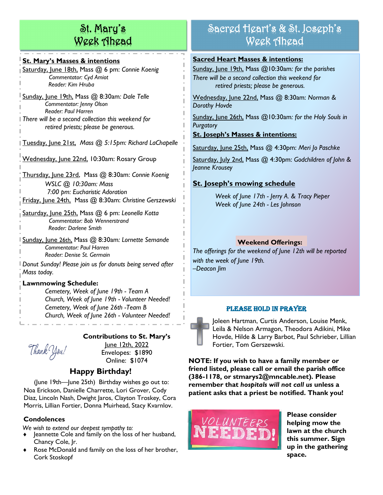## St. Mary's Week Ahead

#### **St. Mary's Masses & intentions**

Saturday, June 18th, Mass @ 6 pm: *Connie Koenig Commentator: Cyd Amiot Reader: Kim Hruba*

Sunday, June 19th, Mass @ 8:30am*: Dale Telle Commentator: Jenny Olson Reader: Paul Harren There will be a second collection this weekend for retired priests; please be generous.*

Tuesday, June 21st, *Mass @ 5:15pm: Richard LaChapelle*

Wednesday, June 22nd, 10:30am: Rosary Group

Thursday, June 23rd, Mass @ 8:30am: *Connie Koenig WSLC @ 10:30am: Mass 7:00 pm: Eucharistic Adoration* Friday, June 24th, Mass @ 8:30am: *Christine Gerszewski*

Saturday, June 25th, Mass @ 6 pm: *Leonella Kotta Commentator: Bob Wennerstrand Reader: Darlene Smith*

Sunday, June 26th, Mass @ 8:30am*: Lornette Semande Commentator: Paul Harren Reader: Denise St. Germain*

*Donut Sunday! Please join us for donuts being served after Mass today.*

#### **Lawnmowing Schedule:**

*Cemetery, Week of June 19th - Team A Church, Week of June 19th - Volunteer Needed! Cemetery, Week of June 26th -Team B Church, Week of June 26th - Volunteer Needed!*

## Thank You!

**Contributions to St. Mary's** 

June 12th, 2022 Envelopes: \$1890 Online: \$1074

#### **Happy Birthday!**

(June 19th—June 25th) Birthday wishes go out to: Noa Erickson, Danielle Charrette, Lori Grover, Cody Diaz, Lincoln Nash, Dwight Jaros, Clayton Troskey, Cora Morris, Lillian Fortier, Donna Muirhead, Stacy Kvarnlov.

#### **Condolences**

*We wish to extend our deepest sympathy to:*

- Jeannette Cole and family on the loss of her husband, Chancy Cole, Jr.
- Rose McDonald and family on the loss of her brother, Cork Stoskopf

## Sacred Heart's & St. Joseph's Week Ahead

#### **Sacred Heart Masses & intentions:**

Sunday, June 19th, Mass @10:30am*: for the parishes There will be a second collection this weekend for retired priests; please be generous.*

Wednesday, June 22nd, Mass @ 8:30am: *Norman & Dorothy Hovde*

Sunday, June 26th, Mass @10:30am*: for the Holy Souls in Purgatory*

#### **St. Joseph's Masses & intentions:**

Saturday, June 25th, Mass @ 4:30pm: *Meri Jo Paschke*

Saturday, July 2nd, Mass @ 4:30pm: *Godchildren of John & Jeanne Krousey*

#### **St. Joseph's mowing schedule**

*Week of June 17th - Jerry A. & Tracy Pieper Week of June 24th - Les Johnson*

#### **Weekend Offerings:**

*The offerings for the weekend of June 12th will be reported with the week of June 19th. –Deacon Jim*

#### Please Hold in Prayer

Joleen Hartman, Curtis Anderson, Louise Menk, Leila & Nelson Armagon, Theodora Adikini, Mike Hovde, Hilde & Larry Barbot, Paul Schrieber, Lillian Fortier, Tom Gerszewski.

**NOTE: If you wish to have a family member or friend listed, please call or email the parish office (386-1178, or stmarys2@mncable.net). Please remember that** *hospitals will not call us* **unless a patient asks that a priest be notified. Thank you!**



**Please consider helping mow the lawn at the church this summer. Sign up in the gathering space.**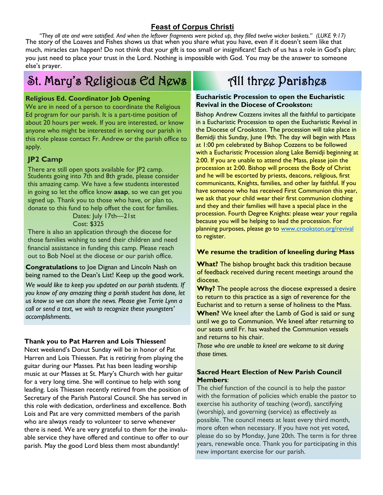#### **Feast of Corpus Christi**

*"They all ate and were satisfied. And when the leftover fragments were picked up, they filled twelve wicker baskets." (LUKE 9:17)* The story of the Loaves and Fishes shows us that when you share what you have, even if it doesn't seem like that much, miracles can happen! Do not think that your gift is too small or insignificant! Each of us has a role in God's plan; you just need to place your trust in the Lord. Nothing is impossible with God. You may be the answer to someone else's prayer.

## St. Mary's Religious Ed News

#### **Religious Ed. Coordinator Job Opening**

We are in need of a person to coordinate the Religious Ed program for our parish. It is a part-time position of about 20 hours per week. If you are interested, or know anyone who might be interested in serving our parish in this role please contact Fr. Andrew or the parish office to apply.

#### **JP2 Camp**

There are still open spots available for JP2 camp. Students going into 7th and 8th grade, please consider this amazing camp. We have a few students interested in going so let the office know **asap**, so we can get you signed up. Thank you to those who have, or plan to, donate to this fund to help offset the cost for families.

> Dates: July 17th-21st Cost: \$325

There is also an application through the diocese for those families wishing to send their children and need financial assistance in funding this camp. Please reach out to Bob Noel at the diocese or our parish office.

#### **Congratulations** to Joe Dignan and Lincoln Nash on being named to the Dean's List! Keep up the good work.

*We would like to keep you updated on our parish students. If you know of any amazing thing a parish student has done, let us know so we can share the news. Please give Terrie Lynn a call or send a text, we wish to recognize these youngsters' accomplishments.* 

#### **Thank you to Pat Harren and Lois Thiessen!**

Next weekend's Donut Sunday will be in honor of Pat Harren and Lois Thiessen. Pat is retiring from playing the guitar during our Masses. Pat has been leading worship music at our Masses at St. Mary's Church with her guitar for a very long time. She will continue to help with song leading. Lois Thiessen recently retired from the position of Secretary of the Parish Pastoral Council. She has served in this role with dedication, orderliness and excellence. Both Lois and Pat are very committed members of the parish who are always ready to volunteer to serve whenever there is need. We are very grateful to them for the invaluable service they have offered and continue to offer to our parish. May the good Lord bless them most abundantly!

## All three Parishes

#### **Eucharistic Procession to open the Eucharistic Revival in the Diocese of Crookston:**

Bishop Andrew Cozzens invites all the faithful to participate in a Eucharistic Procession to open the Eucharistic Revival in the Diocese of Crookston. The procession will take place in Bemidji this Sunday, June 19th. The day will begin with Mass at 1:00 pm celebrated by Bishop Cozzens to be followed with a Eucharistic Procession along Lake Bemidji beginning at 2:00. If you are unable to attend the Mass, please join the procession at 2:00. Bishop will process the Body of Christ and he will be escorted by priests, deacons, religious, first communicants, Knights, families, and other lay faithful. If you have someone who has received First Communion this year, we ask that your child wear their first communion clothing and they and their families will have a special place in the procession. Fourth Degree Knights: please wear your regalia because you will be helping to lead the procession. For planning purposes, please go to [www.crookston.org/revival](http://www.crookston.org/revival) to register.

#### **We resume the tradition of kneeling during Mass**

**What?** The bishop brought back this tradition because of feedback received during recent meetings around the diocese.

**Why?** The people across the diocese expressed a desire to return to this practice as a sign of reverence for the Eucharist and to return a sense of holiness to the Mass. **When?** We kneel after the Lamb of God is said or sung until we go to Communion. We kneel after returning to our seats until Fr. has washed the Communion vessels and returns to his chair.

*Those who are unable to kneel are welcome to sit during those times.* 

#### **Sacred Heart Election of New Parish Council Members**:

The chief function of the council is to help the pastor with the formation of policies which enable the pastor to exercise his authority of teaching (word), sanctifying (worship), and governing (service) as effectively as possible. The council meets at least every third month, more often when necessary. If you have not yet voted, please do so by Monday, June 20th. The term is for three years, renewable once. Thank you for participating in this new important exercise for our parish.